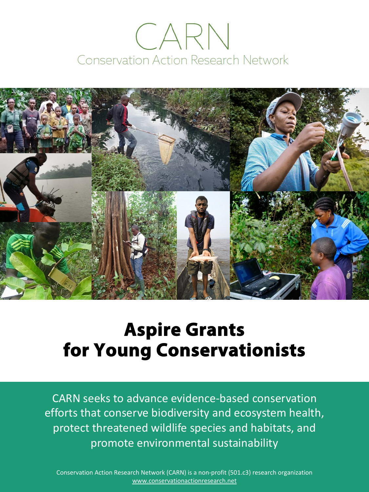# CARN Conservation Action Research Network



## **Aspire Grants for Young Conservationists**

CARN seeks to advance evidence-based conservation efforts that conserve biodiversity and ecosystem health, protect threatened wildlife species and habitats, and promote environmental sustainability

Conservation Action Research Network (CARN) is a non-profit (501.c3) research organization [www.conservationactionresearch.net](http://www.conservationactionresearch.net/)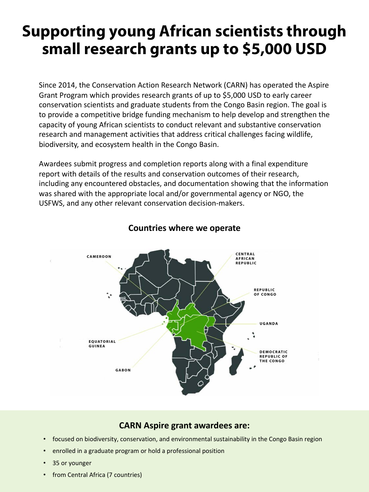## **Supporting young African scientists through small research grants up to \$5,000 USD**

Since 2014, the Conservation Action Research Network (CARN) has operated the Aspire Grant Program which provides research grants of up to \$5,000 USD to early career conservation scientists and graduate students from the Congo Basin region. The goal is to provide a competitive bridge funding mechanism to help develop and strengthen the capacity of young African scientists to conduct relevant and substantive conservation research and management activities that address critical challenges facing wildlife, biodiversity, and ecosystem health in the Congo Basin.

Awardees submit progress and completion reports along with a final expenditure report with details of the results and conservation outcomes of their research, including any encountered obstacles, and documentation showing that the information was shared with the appropriate local and/or governmental agency or NGO, the USFWS, and any other relevant conservation decision-makers.



#### **Countries where we operate**

#### **CARN Aspire grant awardees are:**

- focused on biodiversity, conservation, and environmental sustainability in the Congo Basin region
- enrolled in a graduate program or hold a professional position
- 35 or younger
- from Central Africa (7 countries)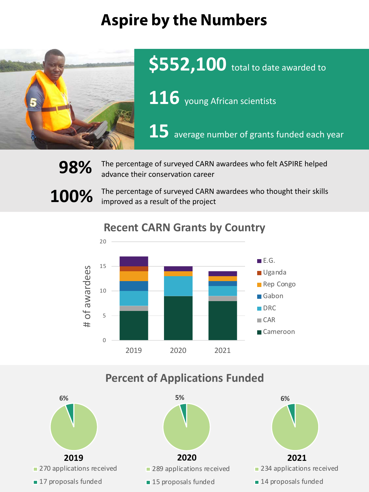## **Aspire by the Numbers**



**\$552,100** total to date awarded to

116 young African scientists

**15** average number of grants funded each year

**98%** The percentage of surveyed CARN awardees who felt ASPIRE helped advance their conservation career

**100%** The percentage of surveyed CARN awardees who thought their skills improved as a result of the project



### **Recent CARN Grants by Country**

### **Percent of Applications Funded**